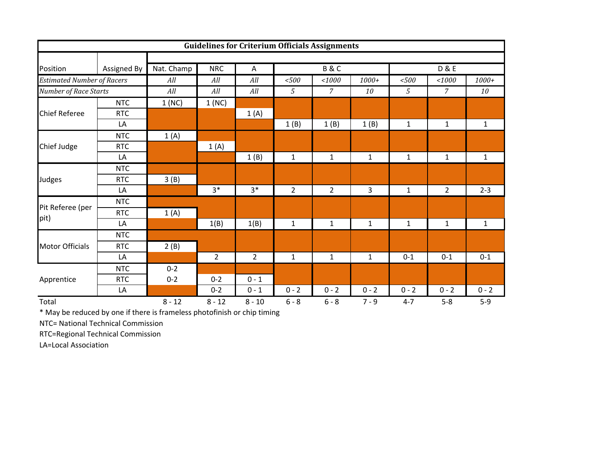|                                   |             |            |                |                | <b>Guidelines for Criterium Officials Assignments</b> |                |              |                |                        |              |  |  |
|-----------------------------------|-------------|------------|----------------|----------------|-------------------------------------------------------|----------------|--------------|----------------|------------------------|--------------|--|--|
|                                   |             |            |                |                |                                                       |                |              |                |                        |              |  |  |
| Position                          | Assigned By | Nat. Champ | <b>NRC</b>     | $\mathsf{A}$   |                                                       | B&C            |              | <b>D&amp;E</b> |                        |              |  |  |
| <b>Estimated Number of Racers</b> |             | All        | All            | All            | < 500                                                 | 1000           | $1000+$      | $<\!\!500$     | $<\!\!1000$<br>$1000+$ |              |  |  |
| Number of Race Starts             |             | All        | All            | All            | 5                                                     | $\overline{7}$ | 10           | 5              | 10                     |              |  |  |
|                                   | <b>NTC</b>  | 1(NC)      | 1(NC)          |                |                                                       |                |              |                |                        |              |  |  |
| <b>Chief Referee</b>              | <b>RTC</b>  |            |                | 1(A)           |                                                       |                |              |                |                        |              |  |  |
|                                   | LA          |            |                |                | 1(B)                                                  | 1(B)           | 1(B)         | $\mathbf{1}$   | $\mathbf{1}$           | $\mathbf{1}$ |  |  |
|                                   | <b>NTC</b>  | 1(A)       |                |                |                                                       |                |              |                |                        |              |  |  |
| Chief Judge                       | <b>RTC</b>  |            | 1(A)           |                |                                                       |                |              |                |                        |              |  |  |
|                                   | LA          |            |                | 1(B)           | $\mathbf{1}$                                          | $\mathbf{1}$   | $\mathbf{1}$ | $\mathbf{1}$   | $\mathbf{1}$           | $\mathbf{1}$ |  |  |
|                                   | <b>NTC</b>  |            |                |                |                                                       |                |              |                |                        |              |  |  |
| Judges                            | <b>RTC</b>  | 3(B)       |                |                |                                                       |                |              |                |                        |              |  |  |
|                                   | LA          |            | $3*$           | $3*$           | $\overline{2}$                                        | $\overline{2}$ | 3            | $\mathbf{1}$   | $\overline{2}$         | $2 - 3$      |  |  |
| Pit Referee (per                  | <b>NTC</b>  |            |                |                |                                                       |                |              |                |                        |              |  |  |
|                                   | <b>RTC</b>  | 1(A)       |                |                |                                                       |                |              |                |                        |              |  |  |
| pit)                              | LA          |            | 1(B)           | 1(B)           | $\mathbf{1}$                                          | $\mathbf{1}$   | $\mathbf{1}$ | $\mathbf{1}$   | $\mathbf{1}$           | $\mathbf{1}$ |  |  |
|                                   | <b>NTC</b>  |            |                |                |                                                       |                |              |                |                        |              |  |  |
| <b>Motor Officials</b>            | <b>RTC</b>  | 2(B)       |                |                |                                                       |                |              |                |                        |              |  |  |
|                                   | LA          |            | $\overline{2}$ | $\overline{2}$ | $\mathbf{1}$                                          | $\mathbf{1}$   | $\mathbf{1}$ | $0 - 1$        | $0 - 1$                | $0 - 1$      |  |  |
|                                   | <b>NTC</b>  | $0 - 2$    |                |                |                                                       |                |              |                |                        |              |  |  |
| Apprentice                        | <b>RTC</b>  | $0 - 2$    | $0 - 2$        | $0 - 1$        |                                                       |                |              |                |                        |              |  |  |
|                                   | LA          |            | $0 - 2$        | $0 - 1$        | $0 - 2$                                               | $0 - 2$        | $0 - 2$      | $0 - 2$        | $0 - 2$                | $0 - 2$      |  |  |
| Total                             |             | $8 - 12$   | $8 - 12$       | $8 - 10$       | $6 - 8$                                               | $6 - 8$        | $7 - 9$      | $4 - 7$        | $5-8$                  | $5-9$        |  |  |

\* May be reduced by one if there is frameless photofinish or chip timing

NTC= National Technical Commission

RTC=Regional Technical Commission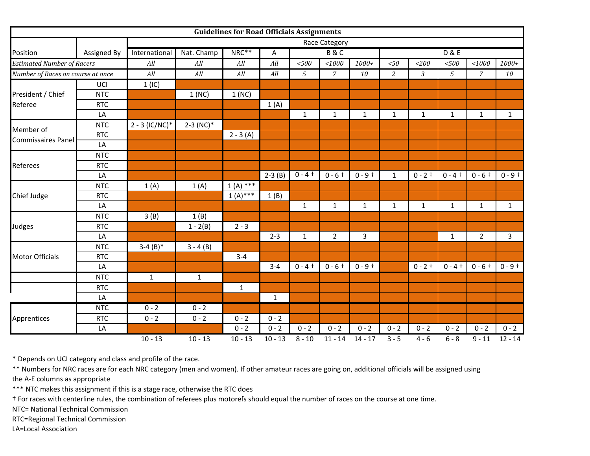|                                   |             |                  |                         | <b>Guidelines for Road Officials Assignments</b> |              |              |                |              |                  |              |              |                |              |
|-----------------------------------|-------------|------------------|-------------------------|--------------------------------------------------|--------------|--------------|----------------|--------------|------------------|--------------|--------------|----------------|--------------|
|                                   |             |                  | Race Category           |                                                  |              |              |                |              |                  |              |              |                |              |
| Position                          | Assigned By | International    | Nat. Champ              | NRC**                                            | A            |              | <b>B&amp;C</b> |              | <b>D &amp; E</b> |              |              |                |              |
| <b>Estimated Number of Racers</b> |             | All              | All                     | All                                              | All          | < 500        | 1000           | $1000+$      | $<\!\!50$        | 1200         | $<\!\!500$   | 1000           | $1000+$      |
| Number of Races on course at once |             | All              | All                     | All                                              | All          | 5            | $\mathcal{I}$  | 10           | $\overline{a}$   | 3            | 5            | $\overline{7}$ | 10           |
|                                   | UCI         | 1(IC)            |                         |                                                  |              |              |                |              |                  |              |              |                |              |
| President / Chief                 | <b>NTC</b>  |                  | 1(NC)                   | 1(NC)                                            |              |              |                |              |                  |              |              |                |              |
| Referee                           | <b>RTC</b>  |                  |                         |                                                  | 1(A)         |              |                |              |                  |              |              |                |              |
|                                   | LA          |                  |                         |                                                  |              | $\mathbf{1}$ | $\mathbf 1$    | $\mathbf{1}$ | $\mathbf{1}$     | $\mathbf{1}$ | $\mathbf{1}$ | $\mathbf{1}$   | $\mathbf{1}$ |
| Member of<br>Commissaires Panel   | <b>NTC</b>  | $2 - 3$ (IC/NC)* | $2-3$ (NC) <sup>*</sup> |                                                  |              |              |                |              |                  |              |              |                |              |
|                                   | <b>RTC</b>  |                  |                         | $2 - 3(A)$                                       |              |              |                |              |                  |              |              |                |              |
|                                   | LA          |                  |                         |                                                  |              |              |                |              |                  |              |              |                |              |
| Referees                          | <b>NTC</b>  |                  |                         |                                                  |              |              |                |              |                  |              |              |                |              |
|                                   | <b>RTC</b>  |                  |                         |                                                  |              |              |                |              |                  |              |              |                |              |
|                                   | LA          |                  |                         |                                                  | $2-3(B)$     | $0 - 4 +$    | $0 - 6 +$      | $0 - 9 +$    | $\mathbf{1}$     | $0 - 2 +$    | $0 - 4 +$    | $0 - 6 +$      | $0 - 9 +$    |
|                                   | <b>NTC</b>  | 1(A)             | 1(A)                    | $1(A)$ ***                                       |              |              |                |              |                  |              |              |                |              |
| Chief Judge                       | <b>RTC</b>  |                  |                         | $1(A)$ ***                                       | 1(B)         |              |                |              |                  |              |              |                |              |
|                                   | LA          |                  |                         |                                                  |              | $\mathbf{1}$ | $\mathbf{1}$   | $\mathbf{1}$ | $\mathbf{1}$     | $\mathbf{1}$ | $\mathbf{1}$ | $\mathbf{1}$   | $\mathbf{1}$ |
|                                   | <b>NTC</b>  | 3(B)             | 1(B)                    |                                                  |              |              |                |              |                  |              |              |                |              |
| Judges                            | <b>RTC</b>  |                  | $1 - 2(B)$              | $2 - 3$                                          |              |              |                |              |                  |              |              |                |              |
|                                   | LA          |                  |                         |                                                  | $2 - 3$      | $\mathbf{1}$ | $\overline{2}$ | 3            |                  |              | $\mathbf{1}$ | $\overline{2}$ | $\mathbf{3}$ |
|                                   | <b>NTC</b>  | $3-4(B)*$        | $3 - 4(B)$              |                                                  |              |              |                |              |                  |              |              |                |              |
| <b>Motor Officials</b>            | <b>RTC</b>  |                  |                         | $3 - 4$                                          |              |              |                |              |                  |              |              |                |              |
|                                   | LA          |                  |                         |                                                  | $3 - 4$      | $0 - 4 +$    | $0 - 6 +$      | $0 - 9 +$    |                  | $0 - 2 +$    | $0 - 4 +$    | $0 - 6 +$      | $0 - 9 +$    |
|                                   | <b>NTC</b>  | $\mathbf{1}$     | $\mathbf{1}$            |                                                  |              |              |                |              |                  |              |              |                |              |
|                                   | <b>RTC</b>  |                  |                         | $\mathbf 1$                                      |              |              |                |              |                  |              |              |                |              |
|                                   | LA          |                  |                         |                                                  | $\mathbf{1}$ |              |                |              |                  |              |              |                |              |
|                                   | <b>NTC</b>  | $0 - 2$          | $0 - 2$                 |                                                  |              |              |                |              |                  |              |              |                |              |
| Apprentices                       | <b>RTC</b>  | $0 - 2$          | $0 - 2$                 | $0 - 2$                                          | $0 - 2$      |              |                |              |                  |              |              |                |              |
|                                   | LA          |                  |                         | $0 - 2$                                          | $0 - 2$      | $0 - 2$      | $0 - 2$        | $0 - 2$      | $0 - 2$          | $0 - 2$      | $0 - 2$      | $0 - 2$        | $0 - 2$      |
|                                   |             | $10 - 13$        | $10 - 13$               | $10 - 13$                                        | $10 - 13$    | $8 - 10$     | $11 - 14$      | $14 - 17$    | $3 - 5$          | $4 - 6$      | $6 - 8$      | $9 - 11$       | $12 - 14$    |

\* Depends on UCI category and class and profile of the race.

\*\* Numbers for NRC races are for each NRC category (men and women). If other amateur races are going on, additional officials will be assigned using

the A‐E columns as appropriate

\*\*\* NTC makes this assignment if this is <sup>a</sup> stage race, otherwise the RTC does

† For races with centerline rules, the combination of referees plus motorefs should equal the number of races on the course at one time.

NTC= National Technical Commission

RTC=Regional Technical Commission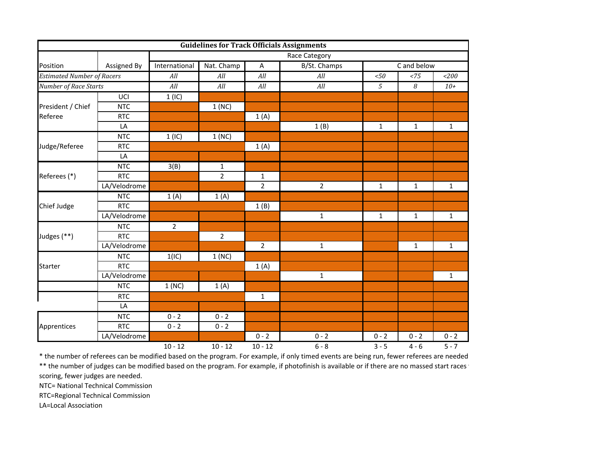|                                   |              |                   |                |                | <b>Guidelines for Track Officials Assignments</b> |                                                                                                    |                                                                                                   |              |  |  |  |
|-----------------------------------|--------------|-------------------|----------------|----------------|---------------------------------------------------|----------------------------------------------------------------------------------------------------|---------------------------------------------------------------------------------------------------|--------------|--|--|--|
|                                   |              | Race Category     |                |                |                                                   |                                                                                                    |                                                                                                   |              |  |  |  |
| Position                          | Assigned By  | International     | Nat. Champ     | A              | B/St. Champs                                      |                                                                                                    |                                                                                                   |              |  |  |  |
| <b>Estimated Number of Racers</b> |              | All               | All            | All            | All                                               | $<\!\!50$                                                                                          | <75                                                                                               | < 200        |  |  |  |
| <b>Number of Race Starts</b>      |              | All               | All            | All            | All                                               | $\overline{5}$                                                                                     | 8<br>$10+$                                                                                        |              |  |  |  |
|                                   | UCI          | $1$ (IC)          |                |                |                                                   |                                                                                                    |                                                                                                   |              |  |  |  |
| President / Chief                 | <b>NTC</b>   |                   | 1(NC)          |                |                                                   |                                                                                                    |                                                                                                   |              |  |  |  |
| Referee                           | <b>RTC</b>   |                   |                | 1(A)           |                                                   |                                                                                                    | C and below<br>$\mathbf{1}$<br>$\mathbf{1}$<br>$\mathbf{1}$<br>$\mathbf{1}$<br>$0 - 2$<br>$4 - 6$ |              |  |  |  |
|                                   | LA           |                   |                |                | 1(B)                                              | $\mathbf{1}$                                                                                       |                                                                                                   | $\mathbf{1}$ |  |  |  |
|                                   | <b>NTC</b>   | 1(IC)             | 1(NC)          |                |                                                   |                                                                                                    |                                                                                                   |              |  |  |  |
| Judge/Referee                     | <b>RTC</b>   |                   |                | 1(A)           |                                                   |                                                                                                    |                                                                                                   |              |  |  |  |
|                                   | LA           |                   |                |                |                                                   |                                                                                                    |                                                                                                   |              |  |  |  |
|                                   | <b>NTC</b>   | $\overline{3}(B)$ | $\mathbf{1}$   |                |                                                   |                                                                                                    |                                                                                                   |              |  |  |  |
| Referees (*)                      | <b>RTC</b>   |                   | $\overline{2}$ | 1              |                                                   |                                                                                                    |                                                                                                   |              |  |  |  |
|                                   | LA/Velodrome |                   |                | $\overline{2}$ | $\overline{2}$                                    | $\mathbf{1}$<br>$\mathbf{1}$<br>$\mathbf{1}$<br>$\mathbf{1}$<br>$\mathbf{1}$<br>$0 - 2$<br>$0 - 2$ |                                                                                                   | $\mathbf{1}$ |  |  |  |
|                                   | <b>NTC</b>   | 1(A)              | 1(A)           |                |                                                   |                                                                                                    |                                                                                                   |              |  |  |  |
| Chief Judge                       | <b>RTC</b>   |                   |                | 1(B)           |                                                   |                                                                                                    |                                                                                                   |              |  |  |  |
|                                   | LA/Velodrome |                   |                |                |                                                   |                                                                                                    |                                                                                                   | $\mathbf{1}$ |  |  |  |
|                                   | <b>NTC</b>   | $\overline{2}$    |                |                |                                                   |                                                                                                    |                                                                                                   |              |  |  |  |
| Judges (**)                       | <b>RTC</b>   |                   | $\overline{2}$ |                |                                                   |                                                                                                    |                                                                                                   |              |  |  |  |
|                                   | LA/Velodrome |                   |                | $\overline{2}$ |                                                   |                                                                                                    |                                                                                                   | $\mathbf{1}$ |  |  |  |
|                                   | <b>NTC</b>   | 1(IC)             | 1(NC)          |                |                                                   |                                                                                                    |                                                                                                   |              |  |  |  |
| <b>Starter</b>                    | <b>RTC</b>   |                   |                | 1(A)           |                                                   |                                                                                                    |                                                                                                   |              |  |  |  |
|                                   | LA/Velodrome |                   |                |                |                                                   |                                                                                                    |                                                                                                   | $\mathbf{1}$ |  |  |  |
|                                   | NTC          | 1(NC)             | 1(A)           |                |                                                   |                                                                                                    |                                                                                                   |              |  |  |  |
|                                   | <b>RTC</b>   |                   |                | $\mathbf{1}$   |                                                   |                                                                                                    |                                                                                                   |              |  |  |  |
|                                   | LA           |                   |                |                |                                                   |                                                                                                    |                                                                                                   |              |  |  |  |
|                                   | <b>NTC</b>   | $0 - 2$           | $0 - 2$        |                |                                                   |                                                                                                    |                                                                                                   |              |  |  |  |
| Apprentices                       | <b>RTC</b>   | $0 - 2$           | $0 - 2$        |                |                                                   |                                                                                                    |                                                                                                   |              |  |  |  |
|                                   | LA/Velodrome |                   |                | $0 - 2$        |                                                   |                                                                                                    |                                                                                                   | $0 - 2$      |  |  |  |
|                                   |              | $10 - 12$         | $10 - 12$      | $10 - 12$      | $6 - 8$                                           | $3 - 5$                                                                                            |                                                                                                   | $5 - 7$      |  |  |  |

\* the number of referees can be modified based on the program. For example, if only timed events are being run, fewer referees are needed \*\* the number of judges can be modified based on the program. For example, if photofinish is available or if there are no massed start races <sup>t</sup> scoring, fewer judges are needed.

NTC= National Technical Commission

RTC=Regional Technical Commission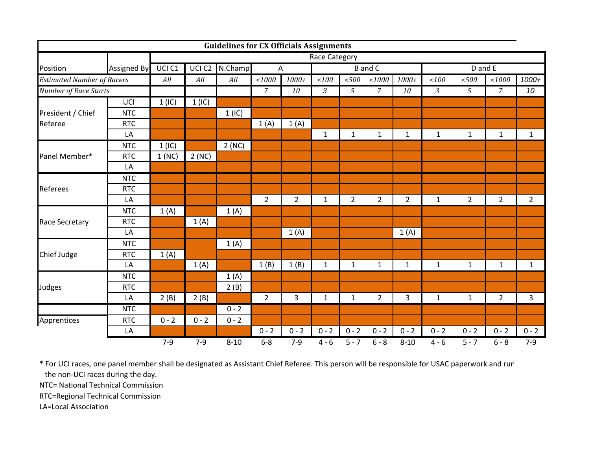|                                   |                    |               |                   | <b>Guidelines for CX Officials Assignments</b> |                |                                  |                |                |                |                |              |                |                |                |
|-----------------------------------|--------------------|---------------|-------------------|------------------------------------------------|----------------|----------------------------------|----------------|----------------|----------------|----------------|--------------|----------------|----------------|----------------|
|                                   |                    | Race Category |                   |                                                |                |                                  |                |                |                |                |              |                |                |                |
| Position                          | <b>Assigned By</b> | UCI C1        | UCI <sub>C2</sub> | N.Champ                                        |                | <b>B</b> and C<br>$\overline{A}$ |                |                | D and E        |                |              |                |                |                |
| <b>Estimated Number of Racers</b> |                    | All           | All               | All                                            | 1000           | $1000+$                          | 100            | $<\!\!500$     | 1000           | $1000+$        | 100          | < 500          | 1000           | 1000+          |
| Number of Race Starts             |                    |               |                   |                                                | $\overline{7}$ | 10                               | $\overline{3}$ | 5              | $\overline{7}$ | 10             | 3            | 5              | $\overline{7}$ | 10             |
|                                   | UCI                | 1 (IC)        | 1(IC)             |                                                |                |                                  |                |                |                |                |              |                |                |                |
| President / Chief                 | <b>NTC</b>         |               |                   | 1 (IC)                                         |                |                                  |                |                |                |                |              |                |                |                |
| Referee                           | <b>RTC</b>         |               |                   |                                                | 1(A)           | 1(A)                             |                |                |                |                |              |                |                |                |
|                                   | LA                 |               |                   |                                                |                |                                  | $\mathbf{1}$   | $\mathbf 1$    | $\mathbf{1}$   | $\mathbf{1}$   | $\mathbf{1}$ | $\mathbf{1}$   | $\mathbf{1}$   | $\mathbf{1}$   |
|                                   | <b>NTC</b>         | 1(IC)         |                   | 2(NC)                                          |                |                                  |                |                |                |                |              |                |                |                |
| Panel Member*                     | <b>RTC</b>         | 1(NC)         | 2(NC)             |                                                |                |                                  |                |                |                |                |              |                |                |                |
|                                   | LA                 |               |                   |                                                |                |                                  |                |                |                |                |              |                |                |                |
|                                   | <b>NTC</b>         |               |                   |                                                |                |                                  |                |                |                |                |              |                |                |                |
| <b>Referees</b>                   | <b>RTC</b>         |               |                   |                                                |                |                                  |                |                |                |                |              |                |                |                |
|                                   | LA                 |               |                   |                                                | $\overline{2}$ | $\overline{2}$                   | $\mathbf{1}$   | $\overline{2}$ | $\overline{2}$ | $\overline{2}$ | $\mathbf{1}$ | $\overline{2}$ | $\overline{2}$ | $\overline{2}$ |
|                                   | <b>NTC</b>         | 1(A)          |                   | 1(A)                                           |                |                                  |                |                |                |                |              |                |                |                |
| <b>Race Secretary</b>             | <b>RTC</b>         |               | 1(A)              |                                                |                |                                  |                |                |                |                |              |                |                |                |
|                                   | LA                 |               |                   |                                                |                | 1(A)                             |                |                |                | 1(A)           |              |                |                |                |
|                                   | <b>NTC</b>         |               |                   | 1(A)                                           |                |                                  |                |                |                |                |              |                |                |                |
| Chief Judge                       | <b>RTC</b>         | 1(A)          |                   |                                                |                |                                  |                |                |                |                |              |                |                |                |
|                                   | LA                 |               | 1(A)              |                                                | 1(B)           | 1(B)                             | $\mathbf{1}$   | $\mathbf{1}$   | $\mathbf 1$    | $\mathbf{1}$   | $\mathbf{1}$ | $\mathbf{1}$   | $\mathbf{1}$   | $\mathbf{1}$   |
|                                   | <b>NTC</b>         |               |                   | 1(A)                                           |                |                                  |                |                |                |                |              |                |                |                |
| Judges                            | <b>RTC</b>         |               |                   | 2(B)                                           |                |                                  |                |                |                |                |              |                |                |                |
|                                   | LA                 | 2(B)          | 2(B)              |                                                | $\overline{2}$ | 3                                | $\mathbf{1}$   | $\mathbf{1}$   | $\overline{2}$ | 3              | $\mathbf{1}$ | $\mathbf{1}$   | $\overline{2}$ | $\mathbf{3}$   |
|                                   | <b>NTC</b>         |               |                   | $0 - 2$                                        |                |                                  |                |                |                |                |              |                |                |                |
| Apprentices                       | <b>RTC</b>         | $0 - 2$       | $0 - 2$           | $0 - 2$                                        |                |                                  |                |                |                |                |              |                |                |                |
|                                   | LA                 |               |                   |                                                | $0 - 2$        | $0 - 2$                          | $0 - 2$        | $0 - 2$        | $0 - 2$        | $0 - 2$        | $0 - 2$      | $0 - 2$        | $0 - 2$        | $0 - 2$        |
|                                   |                    | $7-9$         | $7-9$             | $8 - 10$                                       | $6 - 8$        | $7-9$                            | $4 - 6$        | $5 - 7$        | $6 - 8$        | $8 - 10$       | $4 - 6$      | $5 - 7$        | $6 - 8$        | $7-9$          |

\* For UCI races, one panel member shall be designated as Assistant Chief Referee. This person will be responsible for USAC paperwork and run the non‐UCI races during the day.

NTC= National Technical Commission

RTC=Regional Technical Commission